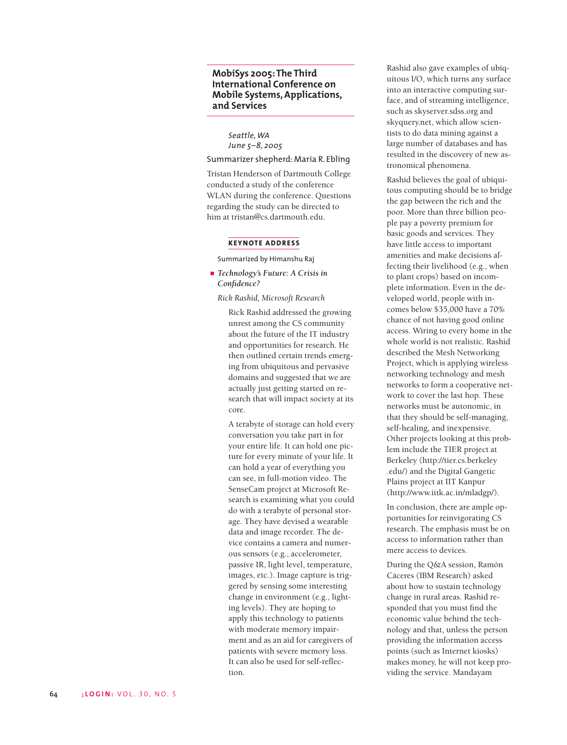# **MobiSys 2005: The Third International Conference on Mobile Systems, Applications, and Services**

*Seattle, WA June 5–8, 2005*

# Summarizer shepherd: Maria R. Ebling

Tristan Henderson of Dartmouth College conducted a study of the conference WLAN during the conference. Questions regarding the study can be directed to him at tristan@cs.dartmouth.edu.

### **KEYNOTE ADDRESS**

Summarized by Himanshu Raj

*Technology's Future: A Crisis in Confidence?*

*Rick Rashid, Microsoft Research*

Rick Rashid addressed the growing unrest among the CS community about the future of the IT industry and opportunities for research. He then outlined certain trends emerging from ubiquitous and pervasive domains and suggested that we are actually just getting started on research that will impact society at its core.

A terabyte of storage can hold every conversation you take part in for your entire life. It can hold one picture for every minute of your life. It can hold a year of everything you can see, in full-motion video. The SenseCam project at Microsoft Research is examining what you could do with a terabyte of personal storage. They have devised a wearable data and image recorder. The device contains a camera and numerous sensors (e.g., accelerometer, passive IR, light level, temperature, images, etc.). Image capture is triggered by sensing some interesting change in environment (e.g., lighting levels). They are hoping to apply this technology to patients with moderate memory impairment and as an aid for caregivers of patients with severe memory loss. It can also be used for self-reflection.

Rashid also gave examples of ubiquitous I/O, which turns any surface into an interactive computing surface, and of streaming intelligence, such as skyserver.sdss.org and skyquery.net, which allow scientists to do data mining against a large number of databases and has resulted in the discovery of new astronomical phenomena.

Rashid believes the goal of ubiquitous computing should be to bridge the gap between the rich and the poor. More than three billion people pay a poverty premium for basic goods and services. They have little access to important amenities and make decisions affecting their livelihood (e.g., when to plant crops) based on incomplete information. Even in the developed world, people with incomes below \$35,000 have a 70% chance of not having good online access. Wiring to every home in the whole world is not realistic. Rashid described the Mesh Networking Project, which is applying wireless networking technology and mesh networks to form a cooperative network to cover the last hop. These networks must be autonomic, in that they should be self-managing, self-healing, and inexpensive. Other projects looking at this problem include the TIER project at Berkeley (http://tier.cs.berkeley .edu/) and the Digital Gangetic Plains project at IIT Kanpur (http://www.iitk.ac.in/mladgp/).

In conclusion, there are ample opportunities for reinvigorating CS research. The emphasis must be on access to information rather than mere access to devices.

During the Q&A session, Ramón Cáceres (IBM Research) asked about how to sustain technology change in rural areas. Rashid responded that you must find the economic value behind the technology and that, unless the person providing the information access points (such as Internet kiosks) makes money, he will not keep providing the service. Mandayam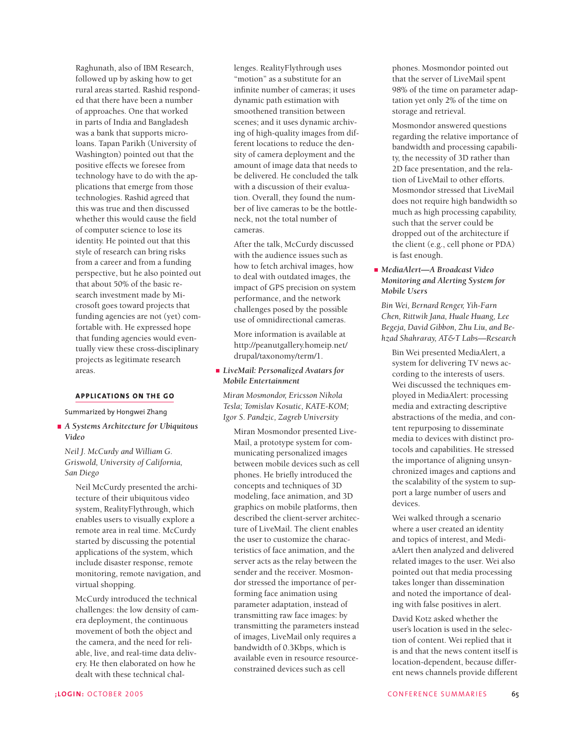Raghunath, also of IBM Research, followed up by asking how to get rural areas started. Rashid responded that there have been a number of approaches. One that worked in parts of India and Bangladesh was a bank that supports microloans. Tapan Parikh (University of Washington) pointed out that the positive effects we foresee from technology have to do with the applications that emerge from those technologies. Rashid agreed that this was true and then discussed whether this would cause the field of computer science to lose its identity. He pointed out that this style of research can bring risks from a career and from a funding perspective, but he also pointed out that about 50% of the basic research investment made by Microsoft goes toward projects that funding agencies are not (yet) comfortable with. He expressed hope that funding agencies would eventually view these cross-disciplinary projects as legitimate research areas.

## **APPLICATIONS ON THE GO**

Summarized by Hongwei Zhang

## *A Systems Architecture for Ubiquitous Video*

*Neil J. McCurdy and William G. Griswold, University of California, San Diego*

Neil McCurdy presented the architecture of their ubiquitous video system, RealityFlythrough, which enables users to visually explore a remote area in real time. McCurdy started by discussing the potential applications of the system, which include disaster response, remote monitoring, remote navigation, and virtual shopping.

McCurdy introduced the technical challenges: the low density of camera deployment, the continuous movement of both the object and the camera, and the need for reliable, live, and real-time data delivery. He then elaborated on how he dealt with these technical challenges. RealityFlythrough uses "motion" as a substitute for an infinite number of cameras; it uses dynamic path estimation with smoothened transition between scenes; and it uses dynamic archiving of high-quality images from different locations to reduce the density of camera deployment and the amount of image data that needs to be delivered. He concluded the talk with a discussion of their evaluation. Overall, they found the number of live cameras to be the bottleneck, not the total number of cameras.

After the talk, McCurdy discussed with the audience issues such as how to fetch archival images, how to deal with outdated images, the impact of GPS precision on system performance, and the network challenges posed by the possible use of omnidirectional cameras.

More information is available at http://peanutgallery.homeip.net/ drupal/taxonomy/term/1.

## *LiveMail: Personalized Avatars for Mobile Entertainment*

*Miran Mosmondor, Ericsson Nikola Tesla; Tomislav Kosutic, KATE-KOM; Igor S. Pandzic, Zagreb University*

Miran Mosmondor presented Live-Mail, a prototype system for communicating personalized images between mobile devices such as cell phones. He briefly introduced the concepts and techniques of 3D modeling, face animation, and 3D graphics on mobile platforms, then described the client-server architecture of LiveMail. The client enables the user to customize the characteristics of face animation, and the server acts as the relay between the sender and the receiver. Mosmondor stressed the importance of performing face animation using parameter adaptation, instead of transmitting raw face images: by transmitting the parameters instead of images, LiveMail only requires a bandwidth of 0.3Kbps, which is available even in resource resourceconstrained devices such as cell

phones. Mosmondor pointed out that the server of LiveMail spent 98% of the time on parameter adaptation yet only 2% of the time on storage and retrieval.

Mosmondor answered questions regarding the relative importance of bandwidth and processing capability, the necessity of 3D rather than 2D face presentation, and the relation of LiveMail to other efforts. Mosmondor stressed that LiveMail does not require high bandwidth so much as high processing capability, such that the server could be dropped out of the architecture if the client (e.g., cell phone or PDA) is fast enough.

# *MediaAlert—A Broadcast Video Monitoring and Alerting System for Mobile Users*

*Bin Wei, Bernard Renger, Yih-Farn Chen, Rittwik Jana, Huale Huang, Lee Begeja, David Gibbon, Zhu Liu, and Behzad Shahraray, AT&T Labs—Research*

Bin Wei presented MediaAlert, a system for delivering TV news according to the interests of users. Wei discussed the techniques employed in MediaAlert: processing media and extracting descriptive abstractions of the media, and content repurposing to disseminate media to devices with distinct protocols and capabilities. He stressed the importance of aligning unsynchronized images and captions and the scalability of the system to support a large number of users and devices.

Wei walked through a scenario where a user created an identity and topics of interest, and MediaAlert then analyzed and delivered related images to the user. Wei also pointed out that media processing takes longer than dissemination and noted the importance of dealing with false positives in alert.

David Kotz asked whether the user's location is used in the selection of content. Wei replied that it is and that the news content itself is location-dependent, because different news channels provide different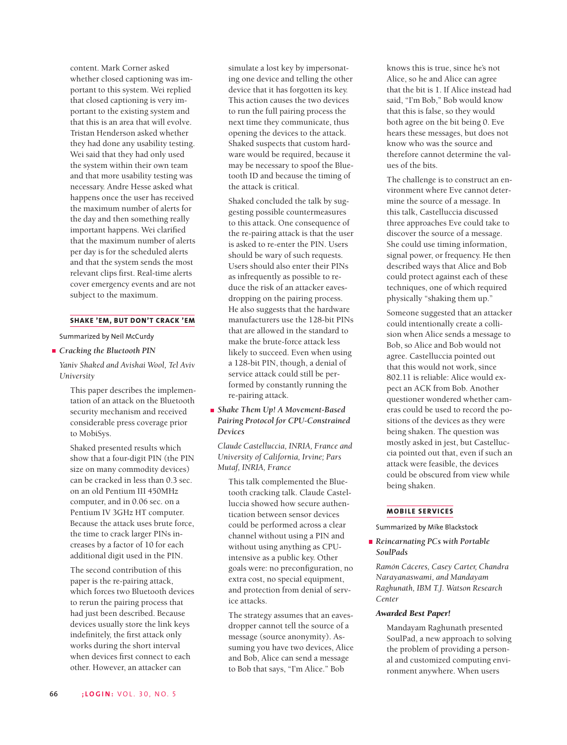content. Mark Corner asked whether closed captioning was important to this system. Wei replied that closed captioning is very important to the existing system and that this is an area that will evolve. Tristan Henderson asked whether they had done any usability testing. Wei said that they had only used the system within their own team and that more usability testing was necessary. Andre Hesse asked what happens once the user has received the maximum number of alerts for the day and then something really important happens. Wei clarified that the maximum number of alerts per day is for the scheduled alerts and that the system sends the most relevant clips first. Real-time alerts cover emergency events and are not subject to the maximum.

### **SHAKE 'EM, BUT DON'T CRACK 'EM**

Summarized by Neil McCurdy

### *Cracking the Bluetooth PIN*

*Yaniv Shaked and Avishai Wool, Tel Aviv University*

This paper describes the implementation of an attack on the Bluetooth security mechanism and received considerable press coverage prior to MobiSys.

Shaked presented results which show that a four-digit PIN (the PIN size on many commodity devices) can be cracked in less than 0.3 sec. on an old Pentium III 450MHz computer, and in 0.06 sec. on a Pentium IV 3GHz HT computer. Because the attack uses brute force, the time to crack larger PINs increases by a factor of 10 for each additional digit used in the PIN.

The second contribution of this paper is the re-pairing attack, which forces two Bluetooth devices to rerun the pairing process that had just been described. Because devices usually store the link keys indefinitely, the first attack only works during the short interval when devices first connect to each other. However, an attacker can

simulate a lost key by impersonating one device and telling the other device that it has forgotten its key. This action causes the two devices to run the full pairing process the next time they communicate, thus opening the devices to the attack. Shaked suspects that custom hardware would be required, because it may be necessary to spoof the Bluetooth ID and because the timing of the attack is critical.

Shaked concluded the talk by suggesting possible countermeasures to this attack. One consequence of the re-pairing attack is that the user is asked to re-enter the PIN. Users should be wary of such requests. Users should also enter their PINs as infrequently as possible to reduce the risk of an attacker eavesdropping on the pairing process. He also suggests that the hardware manufacturers use the 128-bit PINs that are allowed in the standard to make the brute-force attack less likely to succeed. Even when using a 128-bit PIN, though, a denial of service attack could still be performed by constantly running the re-pairing attack.

# *Shake Them Up! A Movement-Based Pairing Protocol for CPU-Constrained Devices*

*Claude Castelluccia, INRIA, France and University of California, Irvine; Pars Mutaf, INRIA, France*

This talk complemented the Bluetooth cracking talk. Claude Castelluccia showed how secure authentication between sensor devices could be performed across a clear channel without using a PIN and without using anything as CPUintensive as a public key. Other goals were: no preconfiguration, no extra cost, no special equipment, and protection from denial of service attacks.

The strategy assumes that an eavesdropper cannot tell the source of a message (source anonymity). Assuming you have two devices, Alice and Bob, Alice can send a message to Bob that says, "I'm Alice." Bob

knows this is true, since he's not Alice, so he and Alice can agree that the bit is 1. If Alice instead had said, "I'm Bob," Bob would know that this is false, so they would both agree on the bit being 0. Eve hears these messages, but does not know who was the source and therefore cannot determine the values of the bits.

The challenge is to construct an environment where Eve cannot determine the source of a message. In this talk, Castelluccia discussed three approaches Eve could take to discover the source of a message. She could use timing information, signal power, or frequency. He then described ways that Alice and Bob could protect against each of these techniques, one of which required physically "shaking them up."

Someone suggested that an attacker could intentionally create a collision when Alice sends a message to Bob, so Alice and Bob would not agree. Castelluccia pointed out that this would not work, since 802.11 is reliable: Alice would expect an ACK from Bob. Another questioner wondered whether cameras could be used to record the positions of the devices as they were being shaken. The question was mostly asked in jest, but Castelluccia pointed out that, even if such an attack were feasible, the devices could be obscured from view while being shaken.

### **MOBILE SERVICES**

Summarized by Mike Blackstock

## *Reincarnating PCs with Portable SoulPads*

*Ramón Cáceres, Casey Carter, Chandra Narayanaswami, and Mandayam Raghunath, IBM T.J. Watson Research Center* 

### *Awarded Best Paper!*

Mandayam Raghunath presented SoulPad, a new approach to solving the problem of providing a personal and customized computing environment anywhere. When users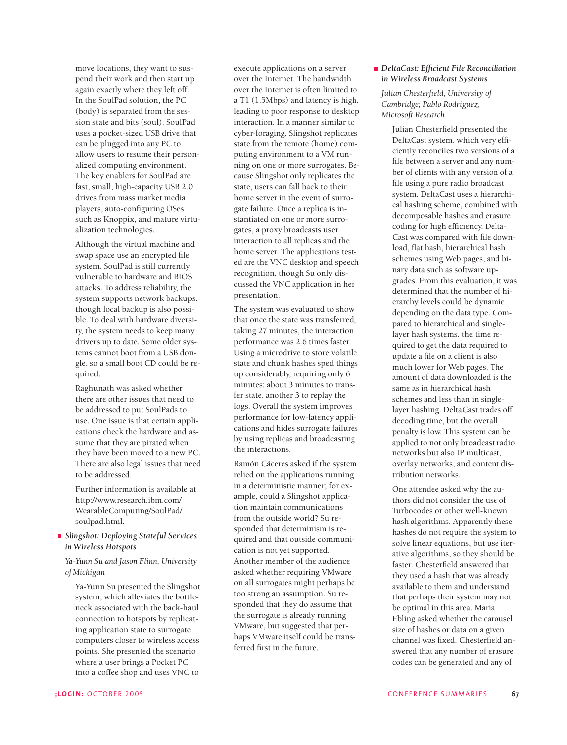move locations, they want to suspend their work and then start up again exactly where they left off. In the SoulPad solution, the PC (body) is separated from the session state and bits (soul). SoulPad uses a pocket-sized USB drive that can be plugged into any PC to allow users to resume their personalized computing environment. The key enablers for SoulPad are fast, small, high-capacity USB 2.0 drives from mass market media players, auto-configuring OSes such as Knoppix, and mature virtualization technologies.

Although the virtual machine and swap space use an encrypted file system, SoulPad is still currently vulnerable to hardware and BIOS attacks. To address reliability, the system supports network backups, though local backup is also possible. To deal with hardware diversity, the system needs to keep many drivers up to date. Some older systems cannot boot from a USB dongle, so a small boot CD could be required.

Raghunath was asked whether there are other issues that need to be addressed to put SoulPads to use. One issue is that certain applications check the hardware and assume that they are pirated when they have been moved to a new PC. There are also legal issues that need to be addressed.

Further information is available at http://www.research.ibm.com/ WearableComputing/SoulPad/ soulpad.html.

*Slingshot: Deploying Stateful Services in Wireless Hotspots*

*Ya-Yunn Su and Jason Flinn, University of Michigan*

Ya-Yunn Su presented the Slingshot system, which alleviates the bottleneck associated with the back-haul connection to hotspots by replicating application state to surrogate computers closer to wireless access points. She presented the scenario where a user brings a Pocket PC into a coffee shop and uses VNC to

execute applications on a server over the Internet. The bandwidth over the Internet is often limited to a T1 (1.5Mbps) and latency is high, leading to poor response to desktop interaction. In a manner similar to cyber-foraging, Slingshot replicates state from the remote (home) computing environment to a VM running on one or more surrogates. Because Slingshot only replicates the state, users can fall back to their home server in the event of surrogate failure. Once a replica is instantiated on one or more surrogates, a proxy broadcasts user interaction to all replicas and the home server. The applications tested are the VNC desktop and speech recognition, though Su only discussed the VNC application in her presentation.

The system was evaluated to show that once the state was transferred, taking 27 minutes, the interaction performance was 2.6 times faster. Using a microdrive to store volatile state and chunk hashes sped things up considerably, requiring only 6 minutes: about 3 minutes to transfer state, another 3 to replay the logs. Overall the system improves performance for low-latency applications and hides surrogate failures by using replicas and broadcasting the interactions.

Ramón Cáceres asked if the system relied on the applications running in a deterministic manner; for example, could a Slingshot application maintain communications from the outside world? Su responded that determinism is required and that outside communication is not yet supported. Another member of the audience asked whether requiring VMware on all surrogates might perhaps be too strong an assumption. Su responded that they do assume that the surrogate is already running VMware, but suggested that perhaps VMware itself could be transferred first in the future.

## *DeltaCast: Efficient File Reconciliation in Wireless Broadcast Systems*

## *Julian Chesterfield, University of Cambridge; Pablo Rodriguez, Microsoft Research*

Julian Chesterfield presented the DeltaCast system, which very efficiently reconciles two versions of a file between a server and any number of clients with any version of a file using a pure radio broadcast system. DeltaCast uses a hierarchical hashing scheme, combined with decomposable hashes and erasure coding for high efficiency. Delta-Cast was compared with file download, flat hash, hierarchical hash schemes using Web pages, and binary data such as software upgrades. From this evaluation, it was determined that the number of hierarchy levels could be dynamic depending on the data type. Compared to hierarchical and singlelayer hash systems, the time required to get the data required to update a file on a client is also much lower for Web pages. The amount of data downloaded is the same as in hierarchical hash schemes and less than in singlelayer hashing. DeltaCast trades off decoding time, but the overall penalty is low. This system can be applied to not only broadcast radio networks but also IP multicast, overlay networks, and content distribution networks.

One attendee asked why the authors did not consider the use of Turbocodes or other well-known hash algorithms. Apparently these hashes do not require the system to solve linear equations, but use iterative algorithms, so they should be faster. Chesterfield answered that they used a hash that was already available to them and understand that perhaps their system may not be optimal in this area. Maria Ebling asked whether the carousel size of hashes or data on a given channel was fixed. Chesterfield answered that any number of erasure codes can be generated and any of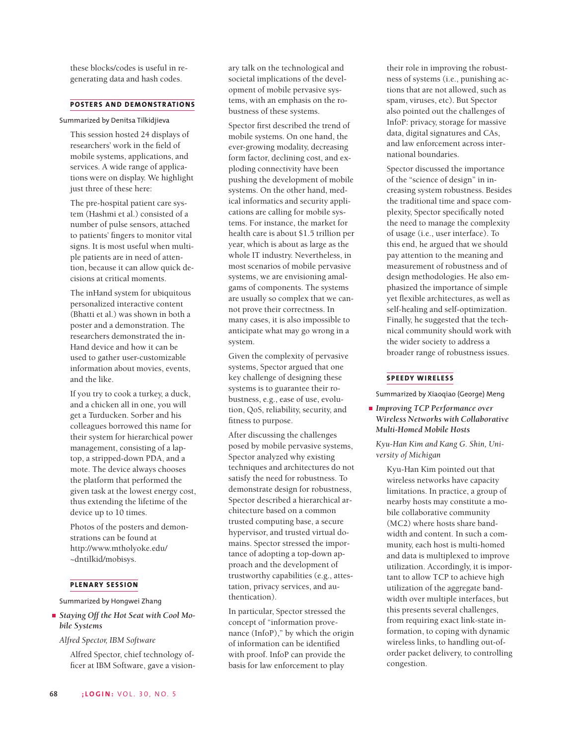these blocks/codes is useful in regenerating data and hash codes.

# **POSTERS AND DEMONSTRATIONS**

Summarized by Denitsa Tilkidjieva

This session hosted 24 displays of researchers' work in the field of mobile systems, applications, and services. A wide range of applications were on display. We highlight just three of these here:

The pre-hospital patient care system (Hashmi et al.) consisted of a number of pulse sensors, attached to patients' fingers to monitor vital signs. It is most useful when multiple patients are in need of attention, because it can allow quick decisions at critical moments.

The inHand system for ubiquitous personalized interactive content (Bhatti et al.) was shown in both a poster and a demonstration. The researchers demonstrated the in-Hand device and how it can be used to gather user-customizable information about movies, events, and the like.

If you try to cook a turkey, a duck, and a chicken all in one, you will get a Turducken. Sorber and his colleagues borrowed this name for their system for hierarchical power management, consisting of a laptop, a stripped-down PDA, and a mote. The device always chooses the platform that performed the given task at the lowest energy cost, thus extending the lifetime of the device up to 10 times.

Photos of the posters and demonstrations can be found at http://www.mtholyoke.edu/ ~dntilkid/mobisys.

## **PLENARY SESSION**

Summarized by Hongwei Zhang

*Staying Off the Hot Seat with Cool Mobile Systems*

*Alfred Spector, IBM Software* 

Alfred Spector, chief technology officer at IBM Software, gave a visionary talk on the technological and societal implications of the development of mobile pervasive systems, with an emphasis on the robustness of these systems.

Spector first described the trend of mobile systems. On one hand, the ever-growing modality, decreasing form factor, declining cost, and exploding connectivity have been pushing the development of mobile systems. On the other hand, medical informatics and security applications are calling for mobile systems. For instance, the market for health care is about \$1.5 trillion per year, which is about as large as the whole IT industry. Nevertheless, in most scenarios of mobile pervasive systems, we are envisioning amalgams of components. The systems are usually so complex that we cannot prove their correctness. In many cases, it is also impossible to anticipate what may go wrong in a system.

Given the complexity of pervasive systems, Spector argued that one key challenge of designing these systems is to guarantee their robustness, e.g., ease of use, evolution, QoS, reliability, security, and fitness to purpose.

After discussing the challenges posed by mobile pervasive systems, Spector analyzed why existing techniques and architectures do not satisfy the need for robustness. To demonstrate design for robustness, Spector described a hierarchical architecture based on a common trusted computing base, a secure hypervisor, and trusted virtual domains. Spector stressed the importance of adopting a top-down approach and the development of trustworthy capabilities (e.g., attestation, privacy services, and authentication).

In particular, Spector stressed the concept of "information provenance (InfoP)," by which the origin of information can be identified with proof. InfoP can provide the basis for law enforcement to play

their role in improving the robustness of systems (i.e., punishing actions that are not allowed, such as spam, viruses, etc). But Spector also pointed out the challenges of InfoP: privacy, storage for massive data, digital signatures and CAs, and law enforcement across international boundaries.

Spector discussed the importance of the "science of design" in increasing system robustness. Besides the traditional time and space complexity, Spector specifically noted the need to manage the complexity of usage (i.e., user interface). To this end, he argued that we should pay attention to the meaning and measurement of robustness and of design methodologies. He also emphasized the importance of simple yet flexible architectures, as well as self-healing and self-optimization. Finally, he suggested that the technical community should work with the wider society to address a broader range of robustness issues.

# **SPEEDY WIRELESS**

Summarized by Xiaoqiao (George) Meng

*Improving TCP Performance over Wireless Networks with Collaborative Multi-Homed Mobile Hosts*

*Kyu-Han Kim and Kang G. Shin, University of Michigan*

Kyu-Han Kim pointed out that wireless networks have capacity limitations. In practice, a group of nearby hosts may constitute a mobile collaborative community (MC2) where hosts share bandwidth and content. In such a community, each host is multi-homed and data is multiplexed to improve utilization. Accordingly, it is important to allow TCP to achieve high utilization of the aggregate bandwidth over multiple interfaces, but this presents several challenges, from requiring exact link-state information, to coping with dynamic wireless links, to handling out-oforder packet delivery, to controlling congestion.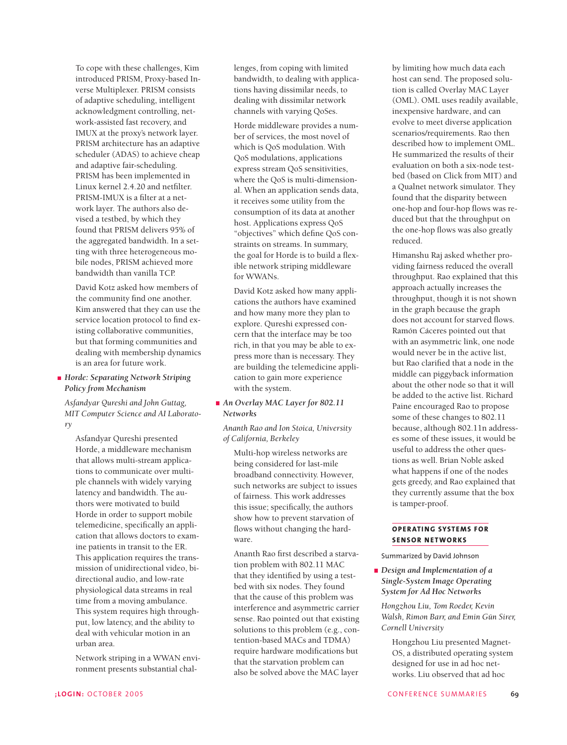To cope with these challenges, Kim introduced PRISM, Proxy-based Inverse Multiplexer. PRISM consists of adaptive scheduling, intelligent acknowledgment controlling, network-assisted fast recovery, and IMUX at the proxy's network layer. PRISM architecture has an adaptive scheduler (ADAS) to achieve cheap and adaptive fair-scheduling. PRISM has been implemented in Linux kernel 2.4.20 and netfilter. PRISM-IMUX is a filter at a network layer. The authors also devised a testbed, by which they found that PRISM delivers 95% of the aggregated bandwidth. In a setting with three heterogeneous mobile nodes, PRISM achieved more bandwidth than vanilla TCP.

David Kotz asked how members of the community find one another. Kim answered that they can use the service location protocol to find existing collaborative communities, but that forming communities and dealing with membership dynamics is an area for future work.

# *Horde: Separating Network Striping Policy from Mechanism*

*Asfandyar Qureshi and John Guttag, MIT Computer Science and AI Laboratory*

Asfandyar Qureshi presented Horde, a middleware mechanism that allows multi-stream applications to communicate over multiple channels with widely varying latency and bandwidth. The authors were motivated to build Horde in order to support mobile telemedicine, specifically an application that allows doctors to examine patients in transit to the ER. This application requires the transmission of unidirectional video, bidirectional audio, and low-rate physiological data streams in real time from a moving ambulance. This system requires high throughput, low latency, and the ability to deal with vehicular motion in an urban area.

Network striping in a WWAN environment presents substantial chal-

lenges, from coping with limited bandwidth, to dealing with applications having dissimilar needs, to dealing with dissimilar network channels with varying QoSes.

Horde middleware provides a number of services, the most novel of which is QoS modulation. With QoS modulations, applications express stream QoS sensitivities, where the QoS is multi-dimensional. When an application sends data, it receives some utility from the consumption of its data at another host. Applications express QoS "objectives" which define QoS constraints on streams. In summary, the goal for Horde is to build a flexible network striping middleware for WWANs.

David Kotz asked how many applications the authors have examined and how many more they plan to explore. Qureshi expressed concern that the interface may be too rich, in that you may be able to express more than is necessary. They are building the telemedicine application to gain more experience with the system.

# *An Overlay MAC Layer for 802.11 Networks*

*Ananth Rao and Ion Stoica, University of California, Berkeley*

Multi-hop wireless networks are being considered for last-mile broadband connectivity. However, such networks are subject to issues of fairness. This work addresses this issue; specifically, the authors show how to prevent starvation of flows without changing the hardware.

Ananth Rao first described a starvation problem with 802.11 MAC that they identified by using a testbed with six nodes. They found that the cause of this problem was interference and asymmetric carrier sense. Rao pointed out that existing solutions to this problem (e.g., contention-based MACs and TDMA) require hardware modifications but that the starvation problem can also be solved above the MAC layer

host can send. The proposed solution is called Overlay MAC Layer (OML). OML uses readily available, inexpensive hardware, and can evolve to meet diverse application scenarios/requirements. Rao then described how to implement OML. He summarized the results of their evaluation on both a six-node testbed (based on Click from MIT) and a Qualnet network simulator. They found that the disparity between one-hop and four-hop flows was reduced but that the throughput on the one-hop flows was also greatly reduced.

by limiting how much data each

Himanshu Raj asked whether providing fairness reduced the overall throughput. Rao explained that this approach actually increases the throughput, though it is not shown in the graph because the graph does not account for starved flows. Ramón Cáceres pointed out that with an asymmetric link, one node would never be in the active list, but Rao clarified that a node in the middle can piggyback information about the other node so that it will be added to the active list. Richard Paine encouraged Rao to propose some of these changes to 802.11 because, although 802.11n addresses some of these issues, it would be useful to address the other questions as well. Brian Noble asked what happens if one of the nodes gets greedy, and Rao explained that they currently assume that the box is tamper-proof.

## **OPERATING SYSTEMS FOR SENSOR NETWORKS**

Summarized by David Johnson

*Design and Implementation of a Single-System Image Operating System for Ad Hoc Networks*

*Hongzhou Liu, Tom Roeder, Kevin Walsh, Rimon Barr, and Emin Gün Sirer, Cornell University*

Hongzhou Liu presented Magnet-OS, a distributed operating system designed for use in ad hoc networks. Liu observed that ad hoc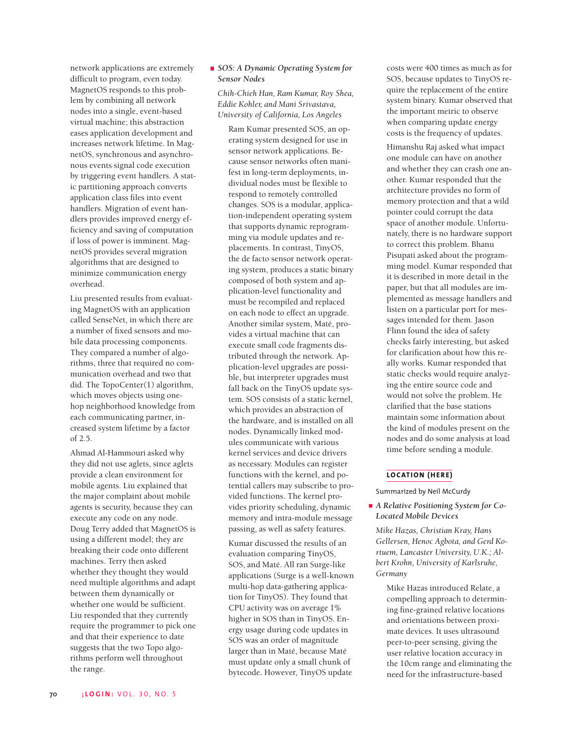network applications are extremely difficult to program, even today. MagnetOS responds to this problem by combining all network nodes into a single, event-based virtual machine; this abstraction eases application development and increases network lifetime. In MagnetOS, synchronous and asynchronous events signal code execution by triggering event handlers. A static partitioning approach converts application class files into event handlers. Migration of event handlers provides improved energy efficiency and saving of computation if loss of power is imminent. MagnetOS provides several migration algorithms that are designed to minimize communication energy overhead.

Liu presented results from evaluating MagnetOS with an application called SenseNet, in which there are a number of fixed sensors and mobile data processing components. They compared a number of algorithms, three that required no communication overhead and two that did. The TopoCenter(1) algorithm, which moves objects using onehop neighborhood knowledge from each communicating partner, increased system lifetime by a factor of 2.5.

Ahmad Al-Hammouri asked why they did not use aglets, since aglets provide a clean environment for mobile agents. Liu explained that the major complaint about mobile agents is security, because they can execute any code on any node. Doug Terry added that MagnetOS is using a different model; they are breaking their code onto different machines. Terry then asked whether they thought they would need multiple algorithms and adapt between them dynamically or whether one would be sufficient. Liu responded that they currently require the programmer to pick one and that their experience to date suggests that the two Topo algorithms perform well throughout the range.

# *SOS: A Dynamic Operating System for Sensor Nodes*

*Chih-Chieh Han, Ram Kumar, Roy Shea, Eddie Kohler, and Mani Srivastava, University of California, Los Angeles*

Ram Kumar presented SOS, an operating system designed for use in sensor network applications. Because sensor networks often manifest in long-term deployments, individual nodes must be flexible to respond to remotely controlled changes. SOS is a modular, application-independent operating system that supports dynamic reprogramming via module updates and replacements. In contrast, TinyOS, the de facto sensor network operating system, produces a static binary composed of both system and application-level functionality and must be recompiled and replaced on each node to effect an upgrade. Another similar system, Maté, provides a virtual machine that can execute small code fragments distributed through the network. Application-level upgrades are possible, but interpreter upgrades must fall back on the TinyOS update system. SOS consists of a static kernel, which provides an abstraction of the hardware, and is installed on all nodes. Dynamically linked modules communicate with various kernel services and device drivers as necessary. Modules can register functions with the kernel, and potential callers may subscribe to provided functions. The kernel provides priority scheduling, dynamic memory and intra-module message passing, as well as safety features.

Kumar discussed the results of an evaluation comparing TinyOS, SOS, and Maté. All ran Surge-like applications (Surge is a well-known multi-hop data-gathering application for TinyOS). They found that CPU activity was on average 1% higher in SOS than in TinyOS. Energy usage during code updates in SOS was an order of magnitude larger than in Maté, because Maté must update only a small chunk of bytecode. However, TinyOS update

costs were 400 times as much as for SOS, because updates to TinyOS require the replacement of the entire system binary. Kumar observed that the important metric to observe when comparing update energy costs is the frequency of updates.

Himanshu Raj asked what impact one module can have on another and whether they can crash one another. Kumar responded that the architecture provides no form of memory protection and that a wild pointer could corrupt the data space of another module. Unfortunately, there is no hardware support to correct this problem. Bhanu Pisupati asked about the programming model. Kumar responded that it is described in more detail in the paper, but that all modules are implemented as message handlers and listen on a particular port for messages intended for them. Jason Flinn found the idea of safety checks fairly interesting, but asked for clarification about how this really works. Kumar responded that static checks would require analyzing the entire source code and would not solve the problem. He clarified that the base stations maintain some information about the kind of modules present on the nodes and do some analysis at load time before sending a module.

## **LOCATION (HERE)**

Summarized by Neil McCurdy

## *A Relative Positioning System for Co-Located Mobile Devices*

*Mike Hazas, Christian Kray, Hans Gellersen, Henoc Agbota, and Gerd Kortuem, Lancaster University, U.K.; Albert Krohn, University of Karlsruhe, Germany*

Mike Hazas introduced Relate, a compelling approach to determining fine-grained relative locations and orientations between proximate devices. It uses ultrasound peer-to-peer sensing, giving the user relative location accuracy in the 10cm range and eliminating the need for the infrastructure-based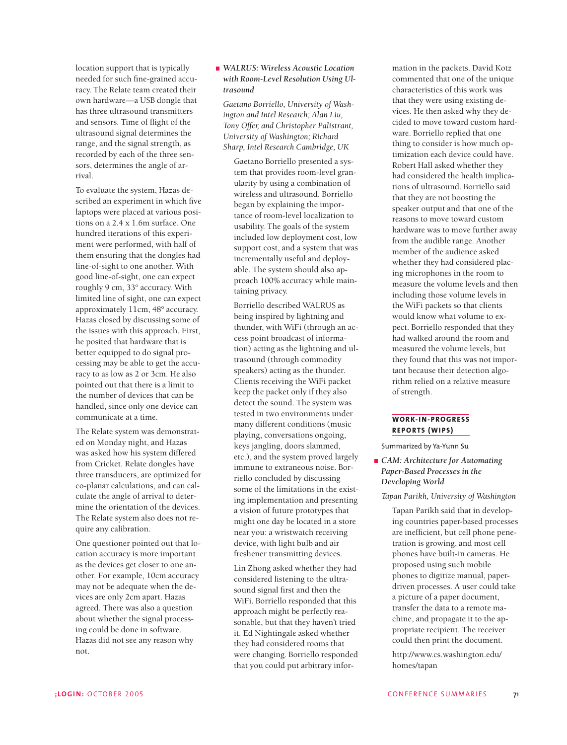location support that is typically needed for such fine-grained accuracy. The Relate team created their own hardware—a USB dongle that has three ultrasound transmitters and sensors. Time of flight of the ultrasound signal determines the range, and the signal strength, as recorded by each of the three sensors, determines the angle of arrival.

To evaluate the system, Hazas described an experiment in which five laptops were placed at various positions on a 2.4 x 1.6m surface. One hundred iterations of this experiment were performed, with half of them ensuring that the dongles had line-of-sight to one another. With good line-of-sight, one can expect roughly 9 cm, 33° accuracy. With limited line of sight, one can expect approximately 11cm, 48° accuracy. Hazas closed by discussing some of the issues with this approach. First, he posited that hardware that is better equipped to do signal processing may be able to get the accuracy to as low as 2 or 3cm. He also pointed out that there is a limit to the number of devices that can be handled, since only one device can communicate at a time.

The Relate system was demonstrated on Monday night, and Hazas was asked how his system differed from Cricket. Relate dongles have three transducers, are optimized for co-planar calculations, and can calculate the angle of arrival to determine the orientation of the devices. The Relate system also does not require any calibration.

One questioner pointed out that location accuracy is more important as the devices get closer to one another. For example, 10cm accuracy may not be adequate when the devices are only 2cm apart. Hazas agreed. There was also a question about whether the signal processing could be done in software. Hazas did not see any reason why not.

# *WALRUS: Wireless Acoustic Location with Room-Level Resolution Using Ultrasound*

*Gaetano Borriello, University of Washington and Intel Research; Alan Liu, Tony Offer, and Christopher Palistrant, University of Washington; Richard Sharp, Intel Research Cambridge, UK*

Gaetano Borriello presented a system that provides room-level granularity by using a combination of wireless and ultrasound. Borriello began by explaining the importance of room-level localization to usability. The goals of the system included low deployment cost, low support cost, and a system that was incrementally useful and deployable. The system should also approach 100% accuracy while maintaining privacy.

Borriello described WALRUS as being inspired by lightning and thunder, with WiFi (through an access point broadcast of information) acting as the lightning and ultrasound (through commodity speakers) acting as the thunder. Clients receiving the WiFi packet keep the packet only if they also detect the sound. The system was tested in two environments under many different conditions (music playing, conversations ongoing, keys jangling, doors slammed, etc.), and the system proved largely immune to extraneous noise. Borriello concluded by discussing some of the limitations in the existing implementation and presenting a vision of future prototypes that might one day be located in a store near you: a wristwatch receiving device, with light bulb and air freshener transmitting devices.

Lin Zhong asked whether they had considered listening to the ultrasound signal first and then the WiFi. Borriello responded that this approach might be perfectly reasonable, but that they haven't tried it. Ed Nightingale asked whether they had considered rooms that were changing. Borriello responded that you could put arbitrary infor-

mation in the packets. David Kotz commented that one of the unique characteristics of this work was that they were using existing devices. He then asked why they decided to move toward custom hardware. Borriello replied that one thing to consider is how much optimization each device could have. Robert Hall asked whether they had considered the health implications of ultrasound. Borriello said that they are not boosting the speaker output and that one of the reasons to move toward custom hardware was to move further away from the audible range. Another member of the audience asked whether they had considered placing microphones in the room to measure the volume levels and then including those volume levels in the WiFi packets so that clients would know what volume to expect. Borriello responded that they had walked around the room and measured the volume levels, but they found that this was not important because their detection algorithm relied on a relative measure of strength.

# **WORK-IN-PROGRESS REPORTS (WIPS)**

Summarized by Ya-Yunn Su

*CAM: Architecture for Automating Paper-Based Processes in the Developing World*

## *Tapan Parikh, University of Washington*

Tapan Parikh said that in developing countries paper-based processes are inefficient, but cell phone penetration is growing, and most cell phones have built-in cameras. He proposed using such mobile phones to digitize manual, paperdriven processes. A user could take a picture of a paper document, transfer the data to a remote machine, and propagate it to the appropriate recipient. The receiver could then print the document.

http://www.cs.washington.edu/ homes/tapan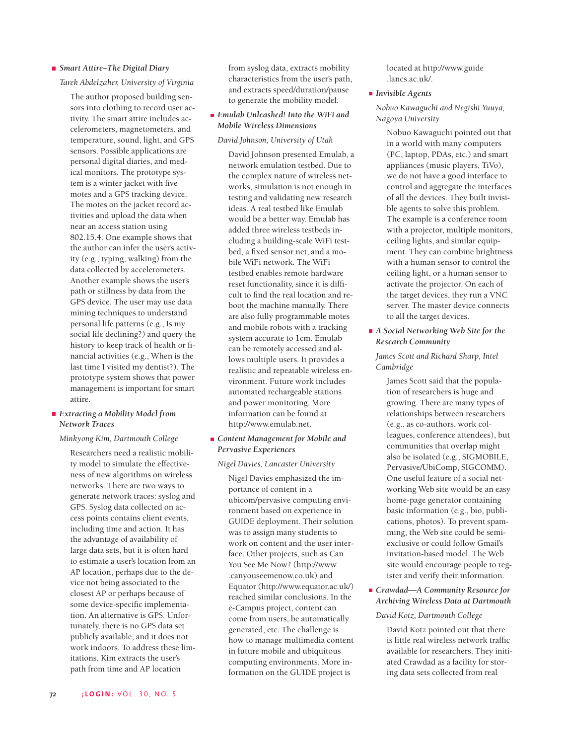## *Smart Attire–The Digital Diary*

### *Tarek Abdelzaher, University of Virginia*

The author proposed building sensors into clothing to record user activity. The smart attire includes accelerometers, magnetometers, and temperature, sound, light, and GPS sensors. Possible applications are personal digital diaries, and medical monitors. The prototype system is a winter jacket with five motes and a GPS tracking device. The motes on the jacket record activities and upload the data when near an access station using 802.15.4. One example shows that the author can infer the user's activity (e.g., typing, walking) from the data collected by accelerometers. Another example shows the user's path or stillness by data from the GPS device. The user may use data mining techniques to understand personal life patterns (e.g., Is my social life declining?) and query the history to keep track of health or financial activities (e.g., When is the last time I visited my dentist?). The prototype system shows that power management is important for smart attire.

## *Extracting a Mobility Model from Network Traces*

### *Minkyong Kim, Dartmouth College*

Researchers need a realistic mobility model to simulate the effectiveness of new algorithms on wireless networks. There are two ways to generate network traces: syslog and GPS. Syslog data collected on access points contains client events, including time and action. It has the advantage of availability of large data sets, but it is often hard to estimate a user's location from an AP location, perhaps due to the device not being associated to the closest AP or perhaps because of some device-specific implementation. An alternative is GPS. Unfortunately, there is no GPS data set publicly available, and it does not work indoors. To address these limitations, Kim extracts the user's path from time and AP location

from syslog data, extracts mobility characteristics from the user's path, and extracts speed/duration/pause to generate the mobility model.

# *Emulab Unleashed! Into the WiFi and Mobile Wireless Dimensions*

### *David Johnson, University of Utah*

David Johnson presented Emulab, a network emulation testbed. Due to the complex nature of wireless networks, simulation is not enough in testing and validating new research ideas. A real testbed like Emulab would be a better way. Emulab has added three wireless testbeds including a building-scale WiFi testbed, a fixed sensor net, and a mobile WiFi network. The WiFi testbed enables remote hardware reset functionality, since it is difficult to find the real location and reboot the machine manually. There are also fully programmable motes and mobile robots with a tracking system accurate to 1cm. Emulab can be remotely accessed and allows multiple users. It provides a realistic and repeatable wireless environment. Future work includes automated rechargeable stations and power monitoring. More information can be found at http://www.emulab.net.

## *Content Management for Mobile and Pervasive Experiences*

#### *Nigel Davies, Lancaster University*

Nigel Davies emphasized the importance of content in a ubicom/pervasive computing environment based on experience in GUIDE deployment. Their solution was to assign many students to work on content and the user interface. Other projects, such as Can You See Me Now? (http://www .canyouseemenow.co.uk) and Equator (http://www.equator.ac.uk/) reached similar conclusions. In the e-Campus project, content can come from users, be automatically generated, etc. The challenge is how to manage multimedia content in future mobile and ubiquitous computing environments. More information on the GUIDE project is

located at http://www.guide .lancs.ac.uk/.

## *Invisible Agents*

*Nobuo Kawaguchi and Negishi Yuuya, Nagoya University*

Nobuo Kawaguchi pointed out that in a world with many computers (PC, laptop, PDAs, etc.) and smart appliances (music players, TiVo), we do not have a good interface to control and aggregate the interfaces of all the devices. They built invisible agents to solve this problem. The example is a conference room with a projector, multiple monitors, ceiling lights, and similar equipment. They can combine brightness with a human sensor to control the ceiling light, or a human sensor to activate the projector. On each of the target devices, they run a VNC server. The master device connects to all the target devices.

# *A Social Networking Web Site for the Research Community*

# *James Scott and Richard Sharp, Intel Cambridge*

James Scott said that the population of researchers is huge and growing. There are many types of relationships between researchers (e.g., as co-authors, work colleagues, conference attendees), but communities that overlap might also be isolated (e.g., SIGMOBILE, Pervasive/UbiComp, SIGCOMM). One useful feature of a social networking Web site would be an easy home-page generator containing basic information (e.g., bio, publications, photos). To prevent spamming, the Web site could be semiexclusive or could follow Gmail's invitation-based model. The Web site would encourage people to register and verify their information.

## *Crawdad—A Community Resource for Archiving Wireless Data at Dartmouth*

### *David Kotz, Dartmouth College*

David Kotz pointed out that there is little real wireless network traffic available for researchers. They initiated Crawdad as a facility for storing data sets collected from real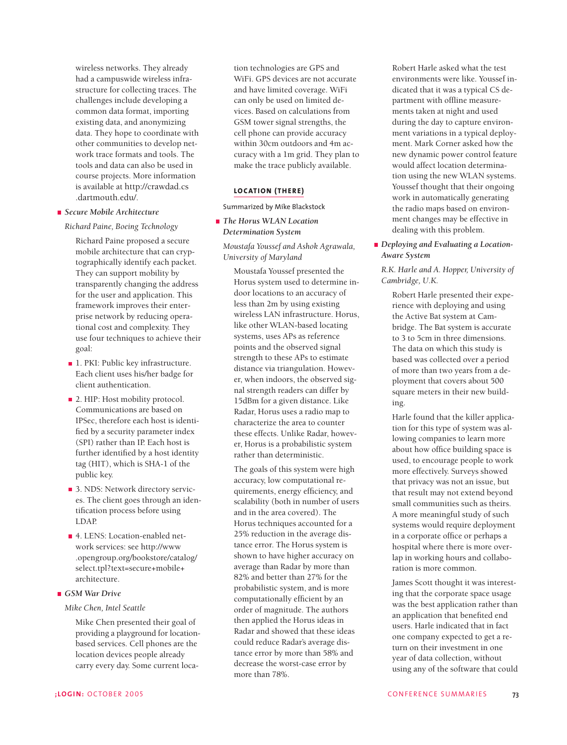wireless networks. They already had a campuswide wireless infrastructure for collecting traces. The challenges include developing a common data format, importing existing data, and anonymizing data. They hope to coordinate with other communities to develop network trace formats and tools. The tools and data can also be used in course projects. More information is available at http://crawdad.cs .dartmouth.edu/.

### *Secure Mobile Architecture*

### *Richard Paine, Boeing Technology*

Richard Paine proposed a secure mobile architecture that can cryptographically identify each packet. They can support mobility by transparently changing the address for the user and application. This framework improves their enterprise network by reducing operational cost and complexity. They use four techniques to achieve their goal:

- 1. PKI: Public key infrastructure. Each client uses his/her badge for client authentication.
- 2. HIP: Host mobility protocol. Communications are based on IPSec, therefore each host is identified by a security parameter index (SPI) rather than IP. Each host is further identified by a host identity tag (HIT), which is SHA-1 of the public key.
- 3. NDS: Network directory services. The client goes through an identification process before using LDAP.
- 4. LENS: Location-enabled network services: see http://www .opengroup.org/bookstore/catalog/ select.tpl?text=secure+mobile+ architecture.

# *GSM War Drive*

*Mike Chen, Intel Seattle*

Mike Chen presented their goal of providing a playground for locationbased services. Cell phones are the location devices people already carry every day. Some current location technologies are GPS and WiFi. GPS devices are not accurate and have limited coverage. WiFi can only be used on limited devices. Based on calculations from GSM tower signal strengths, the cell phone can provide accuracy within 30cm outdoors and 4m accuracy with a 1m grid. They plan to make the trace publicly available.

# **LOCATION (THERE)**

Summarized by Mike Blackstock

*The Horus WLAN Location Determination System*

*Moustafa Youssef and Ashok Agrawala, University of Maryland*

Moustafa Youssef presented the Horus system used to determine indoor locations to an accuracy of less than 2m by using existing wireless LAN infrastructure. Horus, like other WLAN-based locating systems, uses APs as reference points and the observed signal strength to these APs to estimate distance via triangulation. However, when indoors, the observed signal strength readers can differ by 15dBm for a given distance. Like Radar, Horus uses a radio map to characterize the area to counter these effects. Unlike Radar, however, Horus is a probabilistic system rather than deterministic.

The goals of this system were high accuracy, low computational requirements, energy efficiency, and scalability (both in number of users and in the area covered). The Horus techniques accounted for a 25% reduction in the average distance error. The Horus system is shown to have higher accuracy on average than Radar by more than 82% and better than 27% for the probabilistic system, and is more computationally efficient by an order of magnitude. The authors then applied the Horus ideas in Radar and showed that these ideas could reduce Radar's average distance error by more than 58% and decrease the worst-case error by more than 78%.

Robert Harle asked what the test environments were like. Youssef indicated that it was a typical CS department with offline measurements taken at night and used during the day to capture environment variations in a typical deployment. Mark Corner asked how the new dynamic power control feature would affect location determination using the new WLAN systems. Youssef thought that their ongoing work in automatically generating the radio maps based on environment changes may be effective in dealing with this problem.

*Deploying and Evaluating a Location-Aware System*

*R.K. Harle and A. Hopper, University of Cambridge, U.K.* 

Robert Harle presented their experience with deploying and using the Active Bat system at Cambridge. The Bat system is accurate to 3 to 5cm in three dimensions. The data on which this study is based was collected over a period of more than two years from a deployment that covers about 500 square meters in their new building.

Harle found that the killer application for this type of system was allowing companies to learn more about how office building space is used, to encourage people to work more effectively. Surveys showed that privacy was not an issue, but that result may not extend beyond small communities such as theirs. A more meaningful study of such systems would require deployment in a corporate office or perhaps a hospital where there is more overlap in working hours and collaboration is more common.

James Scott thought it was interesting that the corporate space usage was the best application rather than an application that benefited end users. Harle indicated that in fact one company expected to get a return on their investment in one year of data collection, without using any of the software that could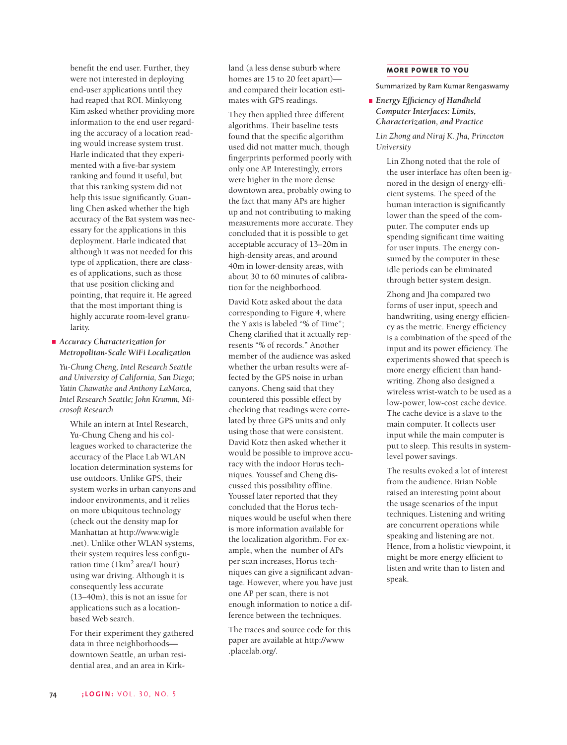benefit the end user. Further, they were not interested in deploying end-user applications until they had reaped that ROI. Minkyong Kim asked whether providing more information to the end user regarding the accuracy of a location reading would increase system trust. Harle indicated that they experimented with a five-bar system ranking and found it useful, but that this ranking system did not help this issue significantly. Guanling Chen asked whether the high accuracy of the Bat system was necessary for the applications in this deployment. Harle indicated that although it was not needed for this type of application, there are classes of applications, such as those that use position clicking and pointing, that require it. He agreed that the most important thing is highly accurate room-level granularity.

*Accuracy Characterization for Metropolitan-Scale WiFi Localization*

*Yu-Chung Cheng, Intel Research Seattle and University of California, San Diego; Yatin Chawathe and Anthony LaMarca, Intel Research Seattle; John Krumm, Microsoft Research* 

While an intern at Intel Research, Yu-Chung Cheng and his colleagues worked to characterize the accuracy of the Place Lab WLAN location determination systems for use outdoors. Unlike GPS, their system works in urban canyons and indoor environments, and it relies on more ubiquitous technology (check out the density map for Manhattan at http://www.wigle .net). Unlike other WLAN systems, their system requires less configuration time (1km2 area/1 hour) using war driving. Although it is consequently less accurate (13–40m), this is not an issue for applications such as a locationbased Web search.

For their experiment they gathered data in three neighborhoods downtown Seattle, an urban residential area, and an area in Kirkland (a less dense suburb where homes are 15 to 20 feet apart) and compared their location estimates with GPS readings.

They then applied three different algorithms. Their baseline tests found that the specific algorithm used did not matter much, though fingerprints performed poorly with only one AP. Interestingly, errors were higher in the more dense downtown area, probably owing to the fact that many APs are higher up and not contributing to making measurements more accurate. They concluded that it is possible to get acceptable accuracy of 13–20m in high-density areas, and around 40m in lower-density areas, with about 30 to 60 minutes of calibration for the neighborhood.

David Kotz asked about the data corresponding to Figure 4, where the Y axis is labeled "% of Time"; Cheng clarified that it actually represents "% of records." Another member of the audience was asked whether the urban results were affected by the GPS noise in urban canyons. Cheng said that they countered this possible effect by checking that readings were correlated by three GPS units and only using those that were consistent. David Kotz then asked whether it would be possible to improve accuracy with the indoor Horus techniques. Youssef and Cheng discussed this possibility offline. Youssef later reported that they concluded that the Horus techniques would be useful when there is more information available for the localization algorithm. For example, when the number of APs per scan increases, Horus techniques can give a significant advantage. However, where you have just one AP per scan, there is not enough information to notice a difference between the techniques.

The traces and source code for this paper are available at http://www .placelab.org/.

## **MORE POWER TO YOU**

Summarized by Ram Kumar Rengaswamy

*Energy Efficiency of Handheld Computer Interfaces: Limits, Characterization, and Practice*

*Lin Zhong and Niraj K. Jha, Princeton University*

Lin Zhong noted that the role of the user interface has often been ignored in the design of energy-efficient systems. The speed of the human interaction is significantly lower than the speed of the computer. The computer ends up spending significant time waiting for user inputs. The energy consumed by the computer in these idle periods can be eliminated through better system design.

Zhong and Jha compared two forms of user input, speech and handwriting, using energy efficiency as the metric. Energy efficiency is a combination of the speed of the input and its power efficiency. The experiments showed that speech is more energy efficient than handwriting. Zhong also designed a wireless wrist-watch to be used as a low-power, low-cost cache device. The cache device is a slave to the main computer. It collects user input while the main computer is put to sleep. This results in systemlevel power savings.

The results evoked a lot of interest from the audience. Brian Noble raised an interesting point about the usage scenarios of the input techniques. Listening and writing are concurrent operations while speaking and listening are not. Hence, from a holistic viewpoint, it might be more energy efficient to listen and write than to listen and speak.